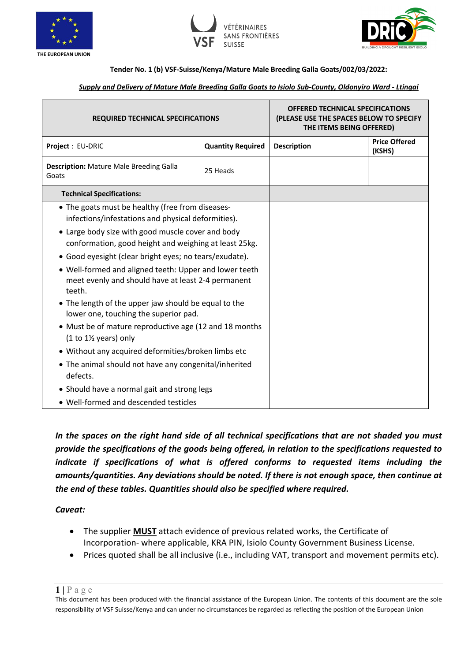





## **Tender No. 1 (b) VSF-Suisse/Kenya/Mature Male Breeding Galla Goats/002/03/2022:**

## *Supply and Delivery of Mature Male Breeding Galla Goats to Isiolo Sub-County, Oldonyiro Ward - Ltingai*

| <b>REQUIRED TECHNICAL SPECIFICATIONS</b>                                                                               |                          | <b>OFFERED TECHNICAL SPECIFICATIONS</b><br>(PLEASE USE THE SPACES BELOW TO SPECIFY<br>THE ITEMS BEING OFFERED) |                                |
|------------------------------------------------------------------------------------------------------------------------|--------------------------|----------------------------------------------------------------------------------------------------------------|--------------------------------|
| Project : EU-DRIC                                                                                                      | <b>Quantity Required</b> | <b>Description</b>                                                                                             | <b>Price Offered</b><br>(KSHS) |
| <b>Description: Mature Male Breeding Galla</b><br>Goats                                                                | 25 Heads                 |                                                                                                                |                                |
| <b>Technical Specifications:</b>                                                                                       |                          |                                                                                                                |                                |
| • The goats must be healthy (free from diseases-<br>infections/infestations and physical deformities).                 |                          |                                                                                                                |                                |
| • Large body size with good muscle cover and body<br>conformation, good height and weighing at least 25kg.             |                          |                                                                                                                |                                |
| • Good eyesight (clear bright eyes; no tears/exudate).                                                                 |                          |                                                                                                                |                                |
| • Well-formed and aligned teeth: Upper and lower teeth<br>meet evenly and should have at least 2-4 permanent<br>teeth. |                          |                                                                                                                |                                |
| • The length of the upper jaw should be equal to the<br>lower one, touching the superior pad.                          |                          |                                                                                                                |                                |
| • Must be of mature reproductive age (12 and 18 months<br>$(1 to 1\frac{1}{2}$ years) only                             |                          |                                                                                                                |                                |
| • Without any acquired deformities/broken limbs etc                                                                    |                          |                                                                                                                |                                |
| • The animal should not have any congenital/inherited<br>defects.                                                      |                          |                                                                                                                |                                |
| • Should have a normal gait and strong legs                                                                            |                          |                                                                                                                |                                |
| • Well-formed and descended testicles                                                                                  |                          |                                                                                                                |                                |

*In the spaces on the right hand side of all technical specifications that are not shaded you must provide the specifications of the goods being offered, in relation to the specifications requested to*  indicate if specifications of what is offered conforms to requested items including the *amounts/quantities. Any deviations should be noted. If there is not enough space, then continue at the end of these tables. Quantities should also be specified where required.*

## *Caveat:*

- The supplier **MUST** attach evidence of previous related works, the Certificate of Incorporation- where applicable, KRA PIN, Isiolo County Government Business License.
- Prices quoted shall be all inclusive (i.e., including VAT, transport and movement permits etc).

 $1$  |  $P$  a g e

This document has been produced with the financial assistance of the European Union. The contents of this document are the sole responsibility of VSF Suisse/Kenya and can under no circumstances be regarded as reflecting the position of the European Union